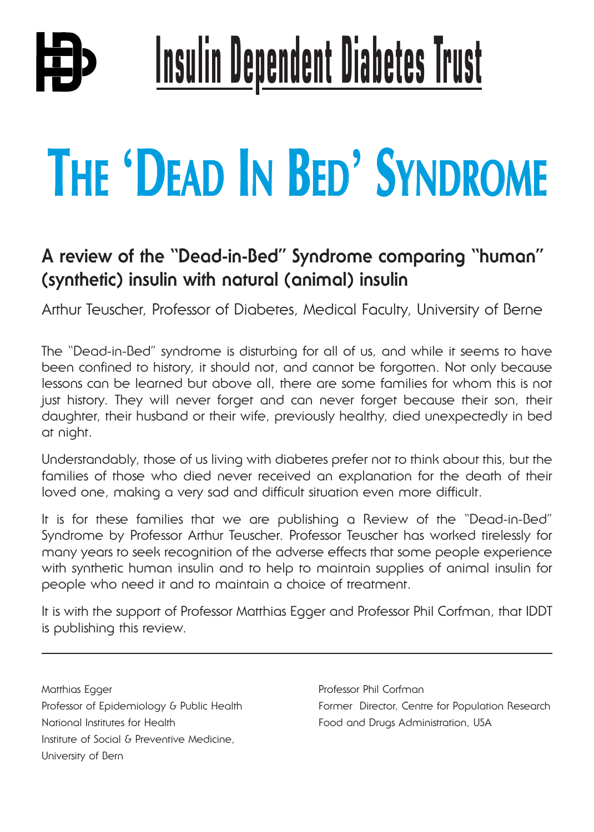# **Insulin Dependent Diabetes Trust**

## **THE** '**DEAD IN BED**' **SYNDROME**

### **A review of the "Dead-in-Bed" Syndrome comparing "human" (synthetic) insulin with natural (animal) insulin**

Arthur Teuscher, Professor of Diabetes, Medical Faculty, University of Berne

The "Dead-in-Bed" syndrome is disturbing for all of us, and while it seems to have been confined to history, it should not, and cannot be forgotten. Not only because lessons can be learned but above all, there are some families for whom this is not just history. They will never forget and can never forget because their son, their daughter, their husband or their wife, previously healthy, died unexpectedly in bed at night.

Understandably, those of us living with diabetes prefer not to think about this, but the families of those who died never received an explanation for the death of their loved one, making a very sad and difficult situation even more difficult.

It is for these families that we are publishing a Review of the "Dead-in-Bed" Syndrome by Professor Arthur Teuscher. Professor Teuscher has worked tirelessly for many years to seek recognition of the adverse effects that some people experience with synthetic human insulin and to help to maintain supplies of animal insulin for people who need it and to maintain a choice of treatment.

It is with the support of Professor Matthias Egger and Professor Phil Corfman, that IDDT is publishing this review.

Matthias Egger **Professor Phil Corfman** National Institutes for Health **Food and Drugs Administration**, USA Institute of Social & Preventive Medicine, University of Bern

Professor of Epidemiology & Public Health Former Director, Centre for Population Research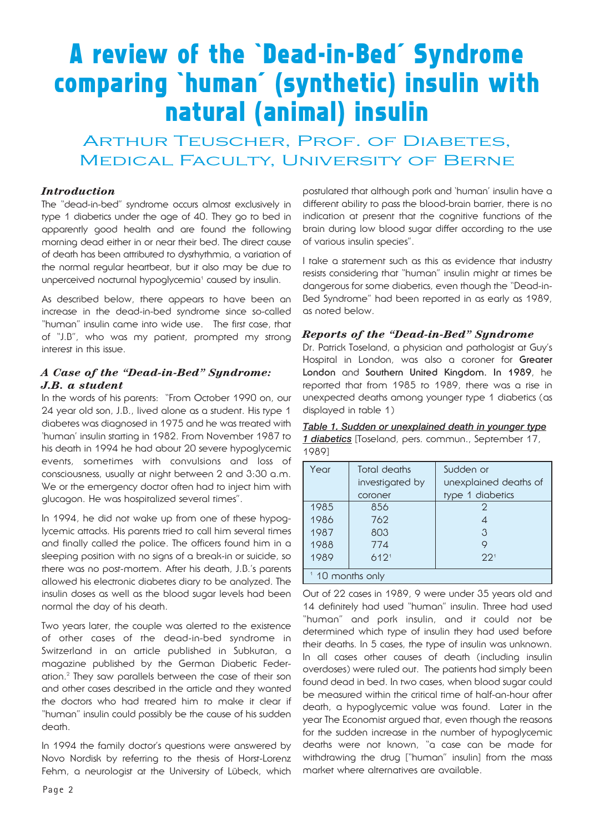## **A review of the 'Dead-in-Bed' Syndrome comparing 'human' (synthetic) insulin with natural (animal) insulin**

#### ARTHUR TEUSCHER, PROF. OF DIABETES, Medical Faculty, University of Berne

#### *Introduction*

The "dead-in-bed" syndrome occurs almost exclusively in type 1 diabetics under the age of 40. They go to bed in apparently good health and are found the following morning dead either in or near their bed. The direct cause of death has been attributed to dysrhythmia, a variation of the normal regular heartbeat, but it also may be due to unperceived nocturnal hypoglycemia<sup>1</sup> caused by insulin.

As described below, there appears to have been an increase in the dead-in-bed syndrome since so-called "human" insulin came into wide use. The first case, that of "J.B", who was my patient, prompted my strong interest in this issue.

#### *A Case of the "Dead-in-Bed" Syndrome: J.B. a student*

In the words of his parents: "From October 1990 on, our 24 year old son, J.B., lived alone as a student. His type 1 diabetes was diagnosed in 1975 and he was treated with 'human' insulin starting in 1982. From November 1987 to his death in 1994 he had about 20 severe hypoglycemic events, sometimes with convulsions and loss of consciousness, usually at night between 2 and 3:30 a.m. We or the emergency doctor often had to inject him with glucagon. He was hospitalized several times".

In 1994, he did not wake up from one of these hypoglycemic attacks. His parents tried to call him several times and finally called the police. The officers found him in a sleeping position with no signs of a break-in or suicide, so there was no post-mortem. After his death, J.B.'s parents allowed his electronic diabetes diary to be analyzed. The insulin doses as well as the blood sugar levels had been normal the day of his death.

Two years later, the couple was alerted to the existence of other cases of the dead-in-bed syndrome in Switzerland in an article published in Subkutan, a magazine published by the German Diabetic Federation. <sup>2</sup> They saw parallels between the case of their son and other cases described in the article and they wanted the doctors who had treated him to make it clear if "human" insulin could possibly be the cause of his sudden death.

In 1994 the family doctor's questions were answered by Novo Nordisk by referring to the thesis of Horst-Lorenz Fehm, a neurologist at the University of Lübeck, which

postulated that although pork and 'human' insulin have a different ability to pass the blood-brain barrier, there is no indication at present that the cognitive functions of the brain during low blood sugar differ according to the use of various insulin species".

I take a statement such as this as evidence that industry resists considering that "human" insulin might at times be dangerous for some diabetics, even though the "Dead-in-Bed Syndrome" had been reported in as early as 1989, as noted below.

#### *Reports of the "Dead-in-Bed" Syndrome*

Dr. Patrick Toseland, a physician and pathologist at Guy's Hospital in London, was also a coroner for **Greater London** and **Southern United Kingdom. In 1989**, he reported that from 1985 to 1989, there was a rise in unexpected deaths among younger type 1 diabetics (as displayed in table 1)

*Table 1. Sudden or unexplained death in younger type 1 diabetics* [Toseland, pers. commun., September 17, 1989]

| Year                        | Total deaths     | Sudden or             |
|-----------------------------|------------------|-----------------------|
|                             | investigated by  | unexplained deaths of |
|                             | coroner          | type 1 diabetics      |
| 1985                        | 856              | 2                     |
| 1986                        | 762              | 4                     |
| 1987                        | 803              | 3                     |
| 1988                        | 774              | 9                     |
| 1989                        | 612 <sup>1</sup> | 22 <sup>1</sup>       |
| <sup>1</sup> 10 months only |                  |                       |

Out of 22 cases in 1989, 9 were under 35 years old and 14 definitely had used "human" insulin. Three had used "human" and pork insulin, and it could not be determined which type of insulin they had used before their deaths. In 5 cases, the type of insulin was unknown. In all cases other causes of death (including insulin overdoses) were ruled out. The patients had simply been found dead in bed. In two cases, when blood sugar could be measured within the critical time of half-an-hour after death, a hypoglycemic value was found. Later in the year The Economist argued that, even though the reasons for the sudden increase in the number of hypoglycemic deaths were not known, "a case can be made for withdrawing the drug ["human" insulin] from the mass market where alternatives are available.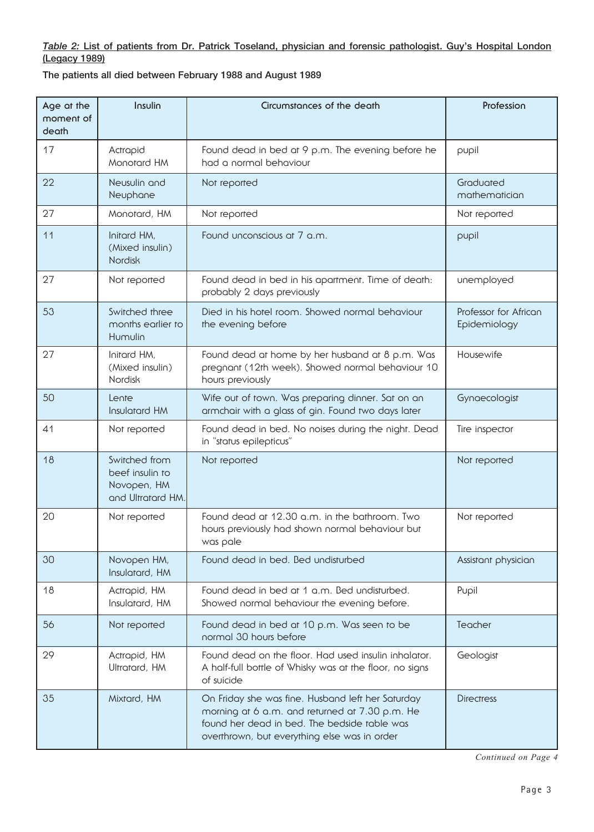#### *Table 2:* List of patients from Dr. Patrick Toseland, physician and forensic pathologist. Guy's Hospital London (Legacy 1989)

The patients all died between February 1988 and August 1989

| Age at the<br>moment of<br>death | Insulin                                                              | Circumstances of the death                                                                                                                                                                          | Profession                            |
|----------------------------------|----------------------------------------------------------------------|-----------------------------------------------------------------------------------------------------------------------------------------------------------------------------------------------------|---------------------------------------|
| 17                               | Actrapid<br>Monotard HM                                              | Found dead in bed at 9 p.m. The evening before he<br>had a normal behaviour                                                                                                                         | pupil                                 |
| 22                               | Neusulin and<br>Neuphane                                             | Not reported                                                                                                                                                                                        | Graduated<br>mathematician            |
| 27                               | Monotard, HM                                                         | Not reported                                                                                                                                                                                        | Not reported                          |
| 11                               | Initard HM,<br>(Mixed insulin)<br><b>Nordisk</b>                     | Found unconscious at 7 a.m.                                                                                                                                                                         | pupil                                 |
| 27                               | Not reported                                                         | Found dead in bed in his apartment. Time of death:<br>probably 2 days previously                                                                                                                    | unemployed                            |
| 53                               | Switched three<br>months earlier to<br>Humulin                       | Died in his hotel room. Showed normal behaviour<br>the evening before                                                                                                                               | Professor for African<br>Epidemiology |
| 27                               | Initard HM,<br>(Mixed insulin)<br>Nordisk                            | Found dead at home by her husband at 8 p.m. Was<br>pregnant (12th week). Showed normal behaviour 10<br>hours previously                                                                             | Housewife                             |
| 50                               | Lente<br>Insulatard HM                                               | Wife out of town. Was preparing dinner. Sat on an<br>armchair with a glass of gin. Found two days later                                                                                             | Gynaecologist                         |
| 41                               | Not reported                                                         | Found dead in bed. No noises during the night. Dead<br>in "status epilepticus"                                                                                                                      | Tire inspector                        |
| 18                               | Switched from<br>beef insulin to<br>Novopen, HM<br>and Ultratard HM. | Not reported                                                                                                                                                                                        | Not reported                          |
| 20                               | Not reported                                                         | Found dead at 12.30 a.m. in the bathroom. Two<br>hours previously had shown normal behaviour but<br>was pale                                                                                        | Not reported                          |
| 30                               | Novopen HM,<br>Insulatard, HM                                        | Found dead in bed. Bed undisturbed                                                                                                                                                                  | Assistant physician                   |
| 18                               | Actrapid, HM<br>Insulatard, HM                                       | Found dead in bed at 1 a.m. Bed undisturbed.<br>Showed normal behaviour the evening before.                                                                                                         | Pupil                                 |
| 56                               | Not reported                                                         | Found dead in bed at 10 p.m. Was seen to be<br>normal 30 hours before                                                                                                                               | Teacher                               |
| 29                               | Actrapid, HM<br>Ultratard, HM                                        | Found dead on the floor. Had used insulin inhalator.<br>A half-full bottle of Whisky was at the floor, no signs<br>of suicide                                                                       | Geologist                             |
| 35                               | Mixtard, HM                                                          | On Friday she was fine. Husband left her Saturday<br>morning at 6 a.m. and returned at 7.30 p.m. He<br>found her dead in bed. The bedside table was<br>overthrown, but everything else was in order | <b>Directress</b>                     |

*Continued on Page 4*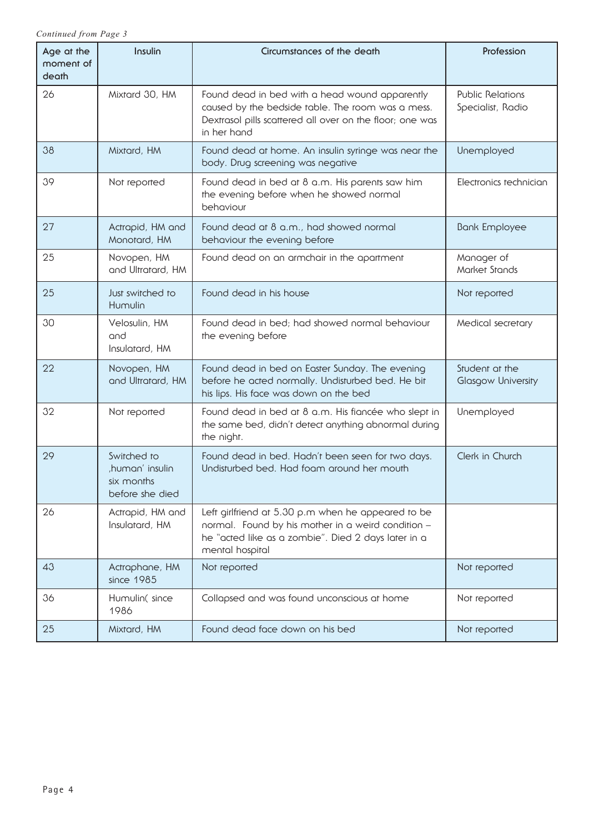*Continued from Page 3*

| Age at the<br>moment of<br>death | Insulin                                                        | Circumstances of the death                                                                                                                                                         | Profession                                   |
|----------------------------------|----------------------------------------------------------------|------------------------------------------------------------------------------------------------------------------------------------------------------------------------------------|----------------------------------------------|
| 26                               | Mixtard 30, HM                                                 | Found dead in bed with a head wound apparently<br>caused by the bedside table. The room was a mess.<br>Dextrasol pills scattered all over on the floor; one was<br>in her hand     | <b>Public Relations</b><br>Specialist, Radio |
| 38                               | Mixtard, HM                                                    | Found dead at home. An insulin syringe was near the<br>body. Drug screening was negative                                                                                           | Unemployed                                   |
| 39                               | Not reported                                                   | Found dead in bed at 8 a.m. His parents saw him<br>the evening before when he showed normal<br>behaviour                                                                           | Electronics technician                       |
| 27                               | Actrapid, HM and<br>Monotard, HM                               | Found dead at 8 a.m., had showed normal<br>behaviour the evening before                                                                                                            | <b>Bank Employee</b>                         |
| 25                               | Novopen, HM<br>and Ultratard, HM                               | Found dead on an armchair in the apartment                                                                                                                                         | Manager of<br>Market Stands                  |
| 25                               | Just switched to<br>Humulin                                    | Found dead in his house                                                                                                                                                            | Not reported                                 |
| 30                               | Velosulin, HM<br>and<br>Insulatard, HM                         | Found dead in bed; had showed normal behaviour<br>the evening before                                                                                                               | Medical secretary                            |
| 22                               | Novopen, HM<br>and Ultratard, HM                               | Found dead in bed on Easter Sunday. The evening<br>before he acted normally. Undisturbed bed. He bit<br>his lips. His face was down on the bed                                     | Student at the<br><b>Glasgow University</b>  |
| 32                               | Not reported                                                   | Found dead in bed at 8 a.m. His fiancée who slept in<br>the same bed, didn't detect anything abnormal during<br>the night.                                                         | Unemployed                                   |
| 29                               | Switched to<br>human' insulin<br>six months<br>before she died | Found dead in bed. Hadn't been seen for two days.<br>Undisturbed bed. Had foam around her mouth                                                                                    | Clerk in Church                              |
| 26                               | Actrapid, HM and<br>Insulatard, HM                             | Left girlfriend at 5.30 p.m when he appeared to be<br>normal. Found by his mother in a weird condition -<br>he "acted like as a zombie". Died 2 days later in a<br>mental hospital |                                              |
| 43                               | Actraphane, HM<br>since 1985                                   | Not reported                                                                                                                                                                       | Not reported                                 |
| 36                               | Humulin(since<br>1986                                          | Collapsed and was found unconscious at home                                                                                                                                        | Not reported                                 |
| 25                               | Mixtard, HM                                                    | Found dead face down on his bed                                                                                                                                                    | Not reported                                 |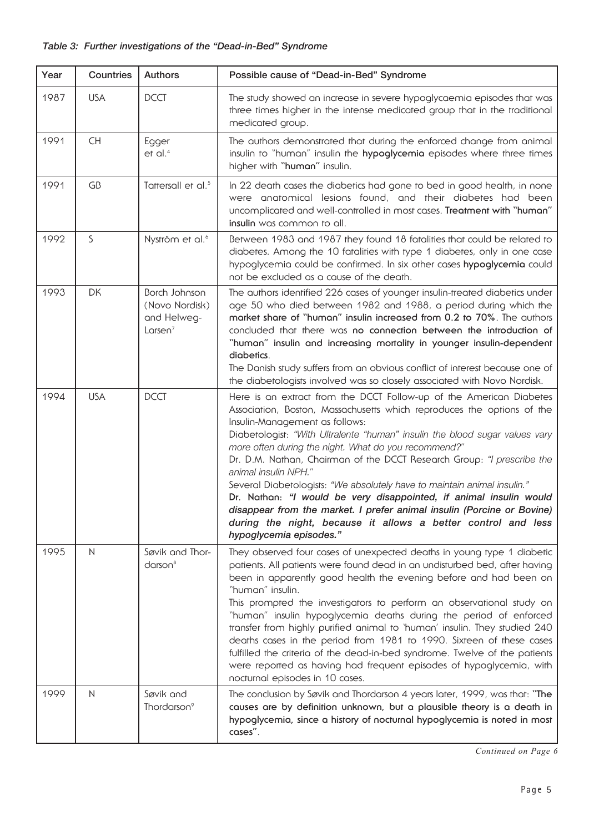| Year | Countries    | <b>Authors</b>                                               | Possible cause of "Dead-in-Bed" Syndrome                                                                                                                                                                                                                                                                                                                                                                                                                                                                                                                                                                                                                                                                                                         |
|------|--------------|--------------------------------------------------------------|--------------------------------------------------------------------------------------------------------------------------------------------------------------------------------------------------------------------------------------------------------------------------------------------------------------------------------------------------------------------------------------------------------------------------------------------------------------------------------------------------------------------------------------------------------------------------------------------------------------------------------------------------------------------------------------------------------------------------------------------------|
| 1987 | <b>USA</b>   | <b>DCCT</b>                                                  | The study showed an increase in severe hypoglycaemia episodes that was<br>three times higher in the intense medicated group that in the traditional<br>medicated group.                                                                                                                                                                                                                                                                                                                                                                                                                                                                                                                                                                          |
| 1991 | <b>CH</b>    | Egger<br>$et$ al. <sup>4</sup>                               | The authors demonstrated that during the enforced change from animal<br>insulin to "human" insulin the hypoglycemia episodes where three times<br>higher with "human" insulin.                                                                                                                                                                                                                                                                                                                                                                                                                                                                                                                                                                   |
| 1991 | GB           | Tattersall et al. <sup>5</sup>                               | In 22 death cases the diabetics had gone to bed in good health, in none<br>were anatomical lesions found, and their diabetes had been<br>uncomplicated and well-controlled in most cases. Treatment with "human"<br>insulin was common to all.                                                                                                                                                                                                                                                                                                                                                                                                                                                                                                   |
| 1992 | S            | Nyström et al. <sup>6</sup>                                  | Between 1983 and 1987 they found 18 fatalities that could be related to<br>diabetes. Among the 10 fatalities with type 1 diabetes, only in one case<br>hypoglycemia could be confirmed. In six other cases hypoglycemia could<br>not be excluded as a cause of the death.                                                                                                                                                                                                                                                                                                                                                                                                                                                                        |
| 1993 | DK           | Borch Johnson<br>(Novo Nordisk)<br>and Helweg-<br>Larsen $7$ | The authors identified 226 cases of younger insulin-treated diabetics under<br>age 50 who died between 1982 and 1988, a period during which the<br>market share of "human" insulin increased from 0.2 to 70%. The authors<br>concluded that there was no connection between the introduction of<br>"human" insulin and increasing mortality in younger insulin-dependent<br>diabetics.<br>The Danish study suffers from an obvious conflict of interest because one of<br>the diabetologists involved was so closely associated with Novo Nordisk.                                                                                                                                                                                               |
| 1994 | <b>USA</b>   | <b>DCCT</b>                                                  | Here is an extract from the DCCT Follow-up of the American Diabetes<br>Association, Boston, Massachusetts which reproduces the options of the<br>Insulin-Management as follows:<br>Diobetologist: "With Ultralente "human" insulin the blood sugar values vary<br>more often during the night. What do you recommend?"<br>Dr. D.M. Nathan, Chairman of the DCCT Research Group: "I prescribe the<br>animal insulin NPH."<br>Several Diabetologists: "We absolutely have to maintain animal insulin."<br>Dr. Nathan: "I would be very disappointed, if animal insulin would<br>disappear from the market. I prefer animal insulin (Porcine or Bovine)<br>during the night, because it allows a better control and less<br>hypoglycemia episodes." |
| 1995 | $\mathsf{N}$ | Søvik and Thor-<br>$d$ arson $8$                             | They observed four cases of unexpected deaths in young type 1 diabetic<br>patients. All patients were found dead in an undisturbed bed, after having<br>been in apparently good health the evening before and had been on<br>"human" insulin.<br>This prompted the investigators to perform an observational study on<br>"human" insulin hypoglycemia deaths during the period of enforced<br>transfer from highly purified animal to 'human' insulin. They studied 240<br>deaths cases in the period from 1981 to 1990. Sixteen of these cases<br>fulfilled the criteria of the dead-in-bed syndrome. Twelve of the patients<br>were reported as having had frequent episodes of hypoglycemia, with<br>nocturnal episodes in 10 cases.          |
| 1999 | N            | Søvik and<br>Thordarson <sup>9</sup>                         | The conclusion by Søvik and Thordarson 4 years later, 1999, was that: "The<br>causes are by definition unknown, but a plausible theory is a death in<br>hypoglycemia, since a history of nocturnal hypoglycemia is noted in most<br>cases".                                                                                                                                                                                                                                                                                                                                                                                                                                                                                                      |

*Continued on Page 6*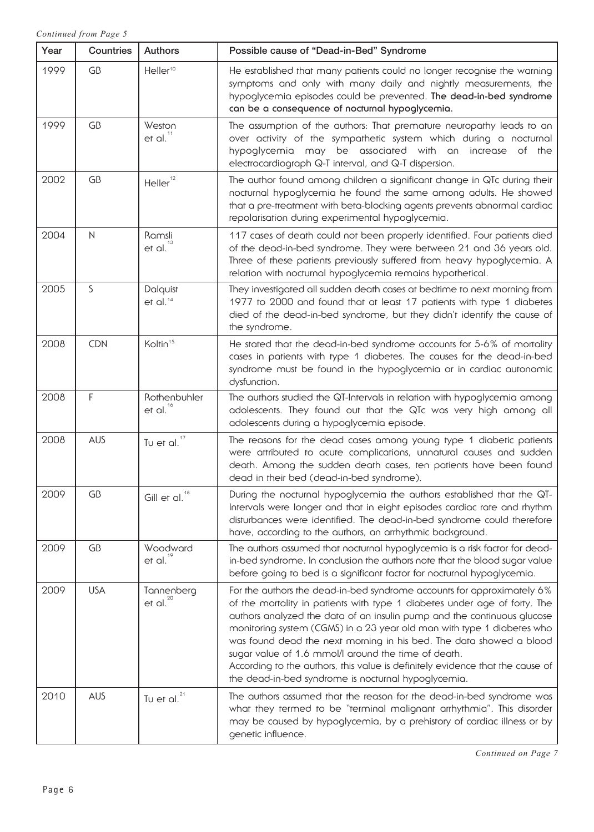| Year | Countries    | <b>Authors</b>                          | Possible cause of "Dead-in-Bed" Syndrome                                                                                                                                                                                                                                                                                                                                                                                                                                                                                                                                       |
|------|--------------|-----------------------------------------|--------------------------------------------------------------------------------------------------------------------------------------------------------------------------------------------------------------------------------------------------------------------------------------------------------------------------------------------------------------------------------------------------------------------------------------------------------------------------------------------------------------------------------------------------------------------------------|
| 1999 | GB           | Heller <sup>10</sup>                    | He established that many patients could no longer recognise the warning<br>symptoms and only with many daily and nightly measurements, the<br>hypoglycemia episodes could be prevented. The dead-in-bed syndrome<br>can be a consequence of nocturnal hypoglycemia.                                                                                                                                                                                                                                                                                                            |
| 1999 | GB           | Weston<br>et al. $11$                   | The assumption of the authors: That premature neuropathy leads to an<br>over activity of the sympathetic system which during a nocturnal<br>hypoglycemia may be associated with an<br>increase of the<br>electrocardiograph Q-T interval, and Q-T dispersion.                                                                                                                                                                                                                                                                                                                  |
| 2002 | GB           | 12<br>Heller <sup>'</sup>               | The author found among children a significant change in QTc during their<br>nocturnal hypoglycemia he found the same among adults. He showed<br>that a pre-treatment with beta-blocking agents prevents abnormal cardiac<br>repolarisation during experimental hypoglycemia.                                                                                                                                                                                                                                                                                                   |
| 2004 | $\mathsf{N}$ | Ramsli<br>et al. $13$                   | 117 cases of death could not been properly identified. Four patients died<br>of the dead-in-bed syndrome. They were between 21 and 36 years old.<br>Three of these patients previously suffered from heavy hypoglycemia. A<br>relation with nocturnal hypoglycemia remains hypothetical.                                                                                                                                                                                                                                                                                       |
| 2005 | S            | Dalquist<br>$et$ al. $14$               | They investigated all sudden death cases at bedtime to next morning from<br>1977 to 2000 and found that at least 17 patients with type 1 diabetes<br>died of the dead-in-bed syndrome, but they didn't identify the cause of<br>the syndrome.                                                                                                                                                                                                                                                                                                                                  |
| 2008 | CDN          | Koltin <sup>15</sup>                    | He stated that the dead-in-bed syndrome accounts for 5-6% of mortality<br>cases in patients with type 1 diabetes. The causes for the dead-in-bed<br>syndrome must be found in the hypoglycemia or in cardiac autonomic<br>dysfunction.                                                                                                                                                                                                                                                                                                                                         |
| 2008 | F            | Rothenbuhler<br>et al. $16$             | The authors studied the QT-Intervals in relation with hypoglycemia among<br>adolescents. They found out that the QTc was very high among all<br>adolescents during a hypoglycemia episode.                                                                                                                                                                                                                                                                                                                                                                                     |
| 2008 | <b>AUS</b>   | Tu et al. $17$                          | The reasons for the dead cases among young type 1 diabetic patients<br>were attributed to acute complications, unnatural causes and sudden<br>death. Among the sudden death cases, ten patients have been found<br>dead in their bed (dead-in-bed syndrome).                                                                                                                                                                                                                                                                                                                   |
| 2009 | GB           | Gill et al. $^{18}$                     | During the nocturnal hypoglycemia the authors established that the QT-<br>Intervals were longer and that in eight episodes cardiac rate and rhythm<br>disturbances were identified. The dead-in-bed syndrome could therefore<br>have, according to the authors, an arrhythmic background.                                                                                                                                                                                                                                                                                      |
| 2009 | GB           | Woodward<br>et al. $19$                 | The authors assumed that nocturnal hypoglycemia is a risk factor for dead-<br>in-bed syndrome. In conclusion the authors note that the blood sugar value<br>before going to bed is a significant factor for nocturnal hypoglycemia.                                                                                                                                                                                                                                                                                                                                            |
| 2009 | <b>USA</b>   | Tannenberg<br>et al. $\overline{^{20}}$ | For the authors the dead-in-bed syndrome accounts for approximately 6%<br>of the mortality in patients with type 1 diabetes under age of forty. The<br>authors analyzed the data of an insulin pump and the continuous glucose<br>monitoring system (CGMS) in a 23 year old man with type 1 diabetes who<br>was found dead the next morning in his bed. The data showed a blood<br>sugar value of 1.6 mmol/l around the time of death.<br>According to the authors, this value is definitely evidence that the cause of<br>the dead-in-bed syndrome is nocturnal hypoglycemia. |
| 2010 | <b>AUS</b>   | Tu et al. $^{21}$                       | The authors assumed that the reason for the dead-in-bed syndrome was<br>what they termed to be "terminal malignant arrhythmia". This disorder<br>may be caused by hypoglycemia, by a prehistory of cardiac illness or by<br>genetic influence.                                                                                                                                                                                                                                                                                                                                 |

*Continued on Page 7*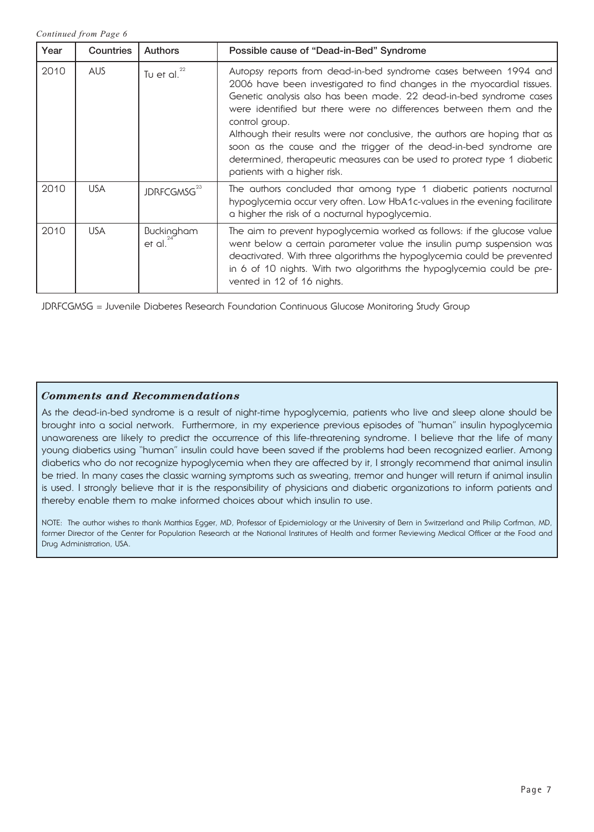*Continued from Page 6*

| Year | Countries  | <b>Authors</b>          | Possible cause of "Dead-in-Bed" Syndrome                                                                                                                                                                                                                                                                                                                                                                                                                                                                                                                               |
|------|------------|-------------------------|------------------------------------------------------------------------------------------------------------------------------------------------------------------------------------------------------------------------------------------------------------------------------------------------------------------------------------------------------------------------------------------------------------------------------------------------------------------------------------------------------------------------------------------------------------------------|
| 2010 | <b>AUS</b> | Tu et al. $^{22}$       | Autopsy reports from dead-in-bed syndrome cases between 1994 and<br>2006 have been investigated to find changes in the myocardial tissues.<br>Genetic analysis also has been made. 22 dead-in-bed syndrome cases<br>were identified but there were no differences between them and the<br>control group.<br>Although their results were not conclusive, the authors are hoping that as<br>soon as the cause and the trigger of the dead-in-bed syndrome are<br>determined, therapeutic measures can be used to protect type 1 diabetic<br>patients with a higher risk. |
| 2010 | <b>USA</b> | JDRFCGMSG <sup>23</sup> | The authors concluded that among type 1 diabetic patients nocturnal<br>hypoglycemia occur very often. Low HbA1c-values in the evening facilitate<br>a higher the risk of a nocturnal hypoglycemia.                                                                                                                                                                                                                                                                                                                                                                     |
| 2010 | <b>USA</b> | Buckingham<br>et al.    | The aim to prevent hypoglycemia worked as follows: if the glucose value<br>went below a certain parameter value the insulin pump suspension was<br>deactivated. With three algorithms the hypoglycemia could be prevented<br>in 6 of 10 nights. With two algorithms the hypoglycemia could be pre-<br>vented in 12 of 16 nights.                                                                                                                                                                                                                                       |

JDRFCGMSG = Juvenile Diabetes Research Foundation Continuous Glucose Monitoring Study Group

#### *Comments and Recommendations*

As the dead-in-bed syndrome is a result of night-time hypoglycemia, patients who live and sleep alone should be brought into a social network. Furthermore, in my experience previous episodes of "human" insulin hypoglycemia unawareness are likely to predict the occurrence of this life-threatening syndrome. I believe that the life of many young diabetics using "human" insulin could have been saved if the problems had been recognized earlier. Among diabetics who do not recognize hypoglycemia when they are affected by it, I strongly recommend that animal insulin be tried. In many cases the classic warning symptoms such as sweating, tremor and hunger will return if animal insulin is used. I strongly believe that it is the responsibility of physicians and diabetic organizations to inform patients and thereby enable them to make informed choices about which insulin to use.

NOTE: The author wishes to thank Matthias Egger, MD, Professor of Epidemiology at the University of Bern in Switzerland and Philip Corfman, MD, former Director of the Center for Population Research at the National Institutes of Health and former Reviewing Medical Officer at the Food and Drug Administration, USA.